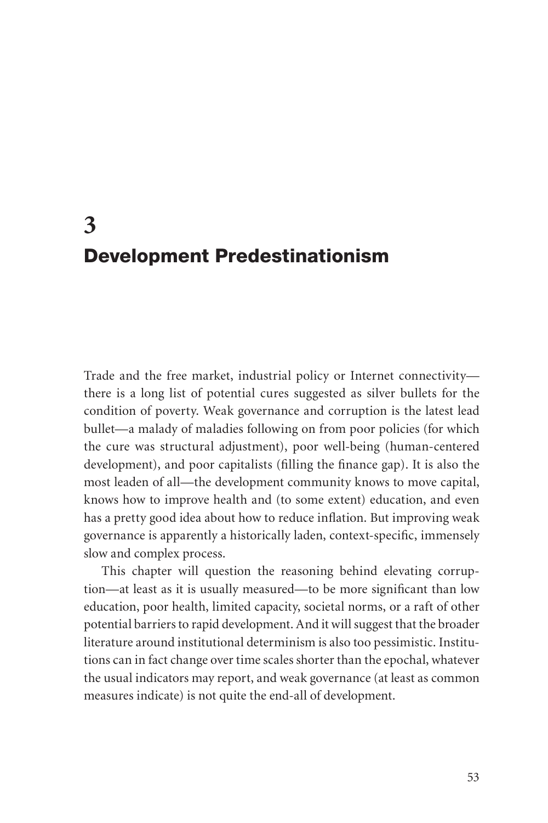# **3** Development Predestinationism

Trade and the free market, industrial policy or Internet connectivity there is a long list of potential cures suggested as silver bullets for the condition of poverty. Weak governance and corruption is the latest lead bullet—a malady of maladies following on from poor policies (for which the cure was structural adjustment), poor well-being (human-centered development), and poor capitalists (filling the finance gap). It is also the most leaden of all—the development community knows to move capital, knows how to improve health and (to some extent) education, and even has a pretty good idea about how to reduce inflation. But improving weak governance is apparently a historically laden, context-specific, immensely slow and complex process.

This chapter will question the reasoning behind elevating corruption—at least as it is usually measured—to be more significant than low education, poor health, limited capacity, societal norms, or a raft of other potential barriers to rapid development. And it will suggest that the broader literature around institutional determinism is also too pessimistic. Institutions can in fact change over time scales shorter than the epochal, whatever the usual indicators may report, and weak governance (at least as common measures indicate) is not quite the end-all of development.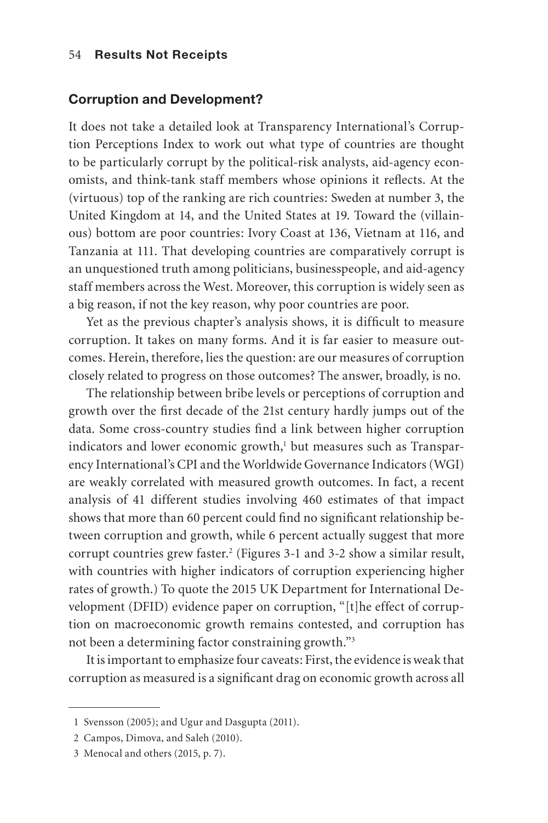#### Corruption and Development?

It does not take a detailed look at Transparency International's Corruption Perceptions Index to work out what type of countries are thought to be particularly corrupt by the political-risk analysts, aid-agency economists, and think-tank staff members whose opinions it reflects. At the (virtuous) top of the ranking are rich countries: Sweden at number 3, the United Kingdom at 14, and the United States at 19. Toward the (villainous) bottom are poor countries: Ivory Coast at 136, Vietnam at 116, and Tanzania at 111. That developing countries are comparatively corrupt is an unquestioned truth among politicians, businesspeople, and aid-agency staff members across the West. Moreover, this corruption is widely seen as a big reason, if not the key reason, why poor countries are poor.

Yet as the previous chapter's analysis shows, it is difficult to measure corruption. It takes on many forms. And it is far easier to measure outcomes. Herein, therefore, lies the question: are our measures of corruption closely related to progress on those outcomes? The answer, broadly, is no.

The relationship between bribe levels or perceptions of corruption and growth over the first decade of the 21st century hardly jumps out of the data. Some cross-country studies find a link between higher corruption indicators and lower economic growth,<sup>1</sup> but measures such as Transparency International's CPI and the Worldwide Governance Indicators (WGI) are weakly correlated with measured growth outcomes. In fact, a recent analysis of 41 different studies involving 460 estimates of that impact shows that more than 60 percent could find no significant relationship between corruption and growth, while 6 percent actually suggest that more corrupt countries grew faster.<sup>2</sup> (Figures 3-1 and 3-2 show a similar result, with countries with higher indicators of corruption experiencing higher rates of growth.) To quote the 2015 UK Department for International Development (DFID) evidence paper on corruption, "[t]he effect of corruption on macroeconomic growth remains contested, and corruption has not been a determining factor constraining growth."3

It is important to emphasize four caveats: First, the evidence is weak that corruption as measured is a significant drag on economic growth across all

<sup>1</sup> Svensson (2005); and Ugur and Dasgupta (2011).

<sup>2</sup> Campos, Dimova, and Saleh (2010).

<sup>3</sup> Menocal and others (2015, p. 7).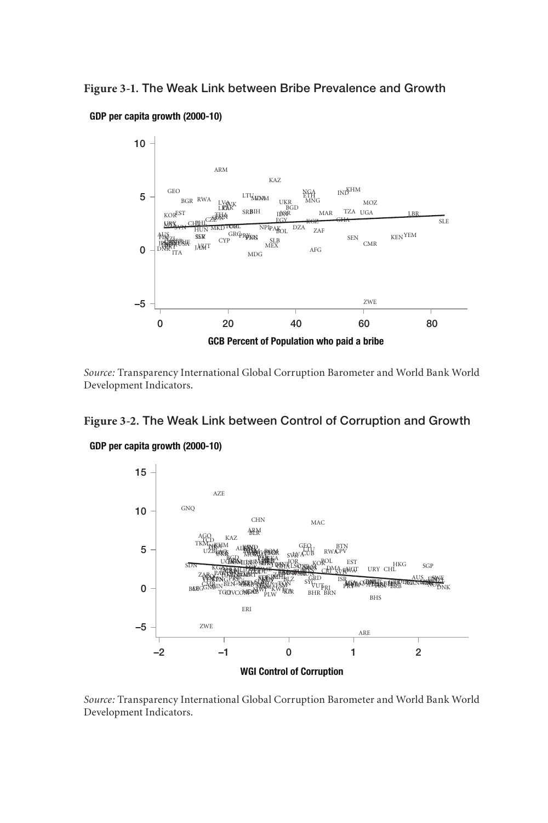FOUR LITTLE DURING OF DIRECT BRA GEO . The Weak Link between I ZAF ESP Figure 3-1. The Weak Link between Bribe Prevalence and Growth





*Source:* Transparency International Global Corruption Barometer and World Bank World Development Indicators.

#### **Figure 3-2.** The Weak Link between Control of Corruption and Growth



*Source:* Transparency International Global Corruption Barometer and World Bank World Development Indicators.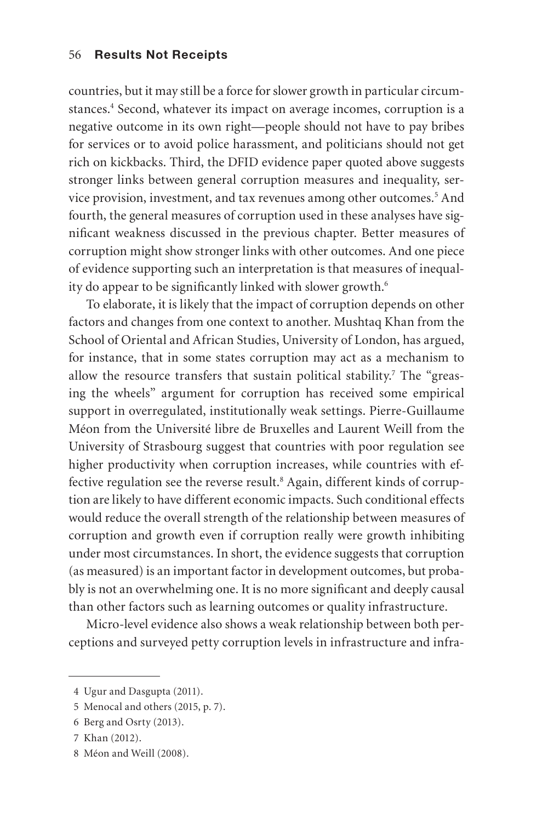countries, but it may still be a force for slower growth in particular circumstances.<sup>4</sup> Second, whatever its impact on average incomes, corruption is a negative outcome in its own right—people should not have to pay bribes for services or to avoid police harassment, and politicians should not get rich on kickbacks. Third, the DFID evidence paper quoted above suggests stronger links between general corruption measures and inequality, service provision, investment, and tax revenues among other outcomes.<sup>5</sup> And fourth, the general measures of corruption used in these analyses have significant weakness discussed in the previous chapter. Better measures of corruption might show stronger links with other outcomes. And one piece of evidence supporting such an interpretation is that measures of inequality do appear to be significantly linked with slower growth.<sup>6</sup>

To elaborate, it is likely that the impact of corruption depends on other factors and changes from one context to another. Mushtaq Khan from the School of Oriental and African Studies, University of London, has argued, for instance, that in some states corruption may act as a mechanism to allow the resource transfers that sustain political stability.<sup>7</sup> The "greasing the wheels" argument for corruption has received some empirical support in overregulated, institutionally weak settings. Pierre-Guillaume Méon from the Université libre de Bruxelles and Laurent Weill from the University of Strasbourg suggest that countries with poor regulation see higher productivity when corruption increases, while countries with effective regulation see the reverse result.<sup>8</sup> Again, different kinds of corruption are likely to have different economic impacts. Such conditional effects would reduce the overall strength of the relationship between measures of corruption and growth even if corruption really were growth inhibiting under most circumstances. In short, the evidence suggests that corruption (as measured) is an important factor in development outcomes, but probably is not an overwhelming one. It is no more significant and deeply causal than other factors such as learning outcomes or quality infrastructure.

Micro-level evidence also shows a weak relationship between both perceptions and surveyed petty corruption levels in infrastructure and infra-

<sup>4</sup> Ugur and Dasgupta (2011).

<sup>5</sup> Menocal and others (2015, p. 7).

<sup>6</sup> Berg and Osrty (2013).

<sup>7</sup> Khan (2012).

<sup>8</sup> Méon and Weill (2008).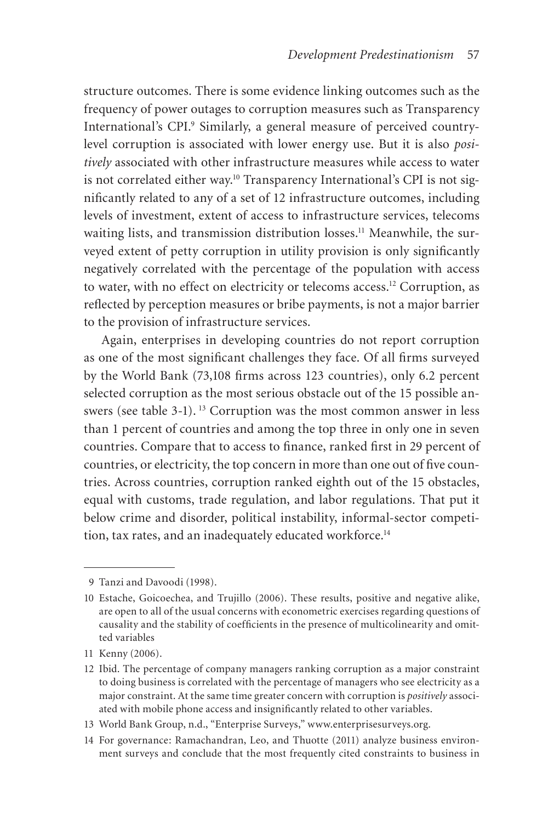structure outcomes. There is some evidence linking outcomes such as the frequency of power outages to corruption measures such as Transparency International's CPI.<sup>9</sup> Similarly, a general measure of perceived countrylevel corruption is associated with lower energy use. But it is also *positively* associated with other infrastructure measures while access to water is not correlated either way.<sup>10</sup> Transparency International's CPI is not significantly related to any of a set of 12 infrastructure outcomes, including levels of investment, extent of access to infrastructure services, telecoms waiting lists, and transmission distribution losses.<sup>11</sup> Meanwhile, the surveyed extent of petty corruption in utility provision is only significantly negatively correlated with the percentage of the population with access to water, with no effect on electricity or telecoms access.<sup>12</sup> Corruption, as reflected by perception measures or bribe payments, is not a major barrier to the provision of infrastructure services.

Again, enterprises in developing countries do not report corruption as one of the most significant challenges they face. Of all firms surveyed by the World Bank (73,108 firms across 123 countries), only 6.2 percent selected corruption as the most serious obstacle out of the 15 possible answers (see table 3-1).<sup>13</sup> Corruption was the most common answer in less than 1 percent of countries and among the top three in only one in seven countries. Compare that to access to finance, ranked first in 29 percent of countries, or electricity, the top concern in more than one out of five countries. Across countries, corruption ranked eighth out of the 15 obstacles, equal with customs, trade regulation, and labor regulations. That put it below crime and disorder, political instability, informal-sector competition, tax rates, and an inadequately educated workforce.<sup>14</sup>

<sup>9</sup> Tanzi and Davoodi (1998).

<sup>10</sup> Estache, Goicoechea, and Trujillo (2006). These results, positive and negative alike, are open to all of the usual concerns with econometric exercises regarding questions of causality and the stability of coefficients in the presence of multicolinearity and omitted variables

<sup>11</sup> Kenny (2006).

<sup>12</sup> Ibid. The percentage of company managers ranking corruption as a major constraint to doing business is correlated with the percentage of managers who see electricity as a major constraint. At the same time greater concern with corruption is *positively* associated with mobile phone access and insignificantly related to other variables.

<sup>13</sup> World Bank Group, n.d., "Enterprise Surveys," www.enterprisesurveys.org.

<sup>14</sup> For governance: Ramachandran, Leo, and Thuotte (2011) analyze business environment surveys and conclude that the most frequently cited constraints to business in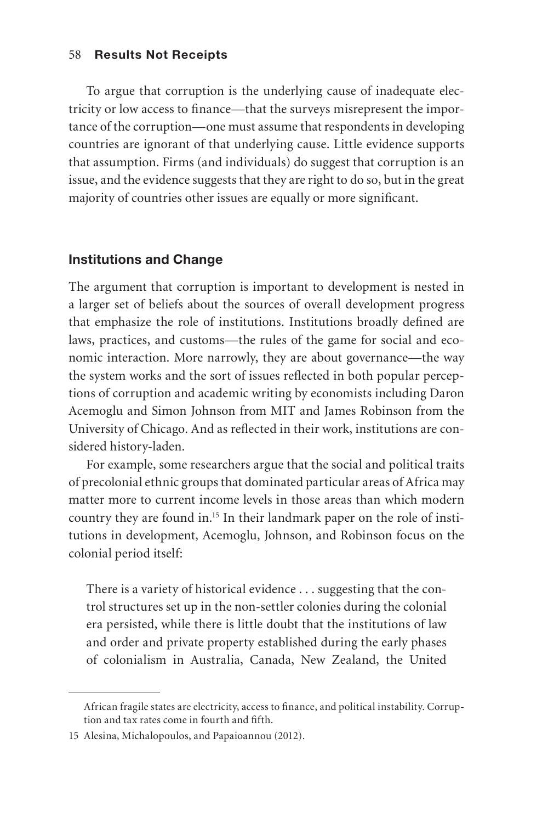To argue that corruption is the underlying cause of inadequate electricity or low access to finance—that the surveys misrepresent the importance of the corruption—one must assume that respondents in developing countries are ignorant of that underlying cause. Little evidence supports that assumption. Firms (and individuals) do suggest that corruption is an issue, and the evidence suggests that they are right to do so, but in the great majority of countries other issues are equally or more significant.

## Institutions and Change

The argument that corruption is important to development is nested in a larger set of beliefs about the sources of overall development progress that emphasize the role of institutions. Institutions broadly defined are laws, practices, and customs—the rules of the game for social and economic interaction. More narrowly, they are about governance—the way the system works and the sort of issues reflected in both popular perceptions of corruption and academic writing by economists including Daron Acemoglu and Simon Johnson from MIT and James Robinson from the University of Chicago. And as reflected in their work, institutions are considered history-laden.

For example, some researchers argue that the social and political traits of precolonial ethnic groups that dominated particular areas of Africa may matter more to current income levels in those areas than which modern country they are found in.15 In their landmark paper on the role of institutions in development, Acemoglu, Johnson, and Robinson focus on the colonial period itself:

There is a variety of historical evidence . . . suggesting that the control structures set up in the non-settler colonies during the colonial era persisted, while there is little doubt that the institutions of law and order and private property established during the early phases of colonialism in Australia, Canada, New Zealand, the United

African fragile states are electricity, access to finance, and political instability. Corruption and tax rates come in fourth and fifth.

<sup>15</sup> Alesina, Michalopoulos, and Papaioannou (2012).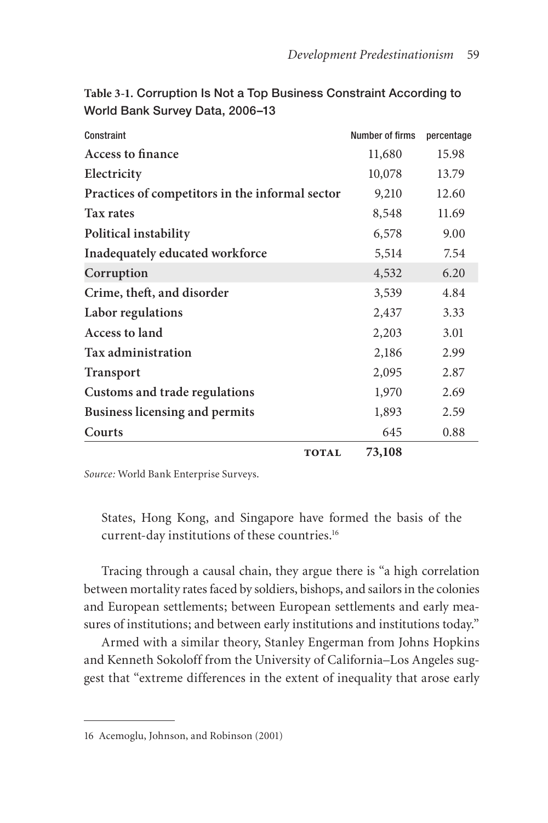| Constraint                                      | Number of firms | percentage |
|-------------------------------------------------|-----------------|------------|
|                                                 |                 |            |
| <b>Access to finance</b>                        | 11,680          | 15.98      |
| Electricity                                     | 10,078          | 13.79      |
| Practices of competitors in the informal sector | 9,210           | 12.60      |
| Tax rates                                       | 8,548           | 11.69      |
| Political instability                           | 6,578           | 9.00       |
| Inadequately educated workforce                 | 5,514           | 7.54       |
| Corruption                                      | 4,532           | 6.20       |
| Crime, theft, and disorder                      | 3,539           | 4.84       |
| Labor regulations                               | 2,437           | 3.33       |
| Access to land                                  | 2,203           | 3.01       |
| <b>Tax administration</b>                       | 2,186           | 2.99       |
| Transport                                       | 2,095           | 2.87       |
| Customs and trade regulations                   | 1,970           | 2.69       |
| <b>Business licensing and permits</b>           | 1,893           | 2.59       |
| Courts                                          | 645             | 0.88       |
| <b>TOTAL</b>                                    | 73,108          |            |

**Table 3-1.** Corruption Is Not a Top Business Constraint According to World Bank Survey Data, 2006–13

*Source:* World Bank Enterprise Surveys.

States, Hong Kong, and Singapore have formed the basis of the current-day institutions of these countries.16

Tracing through a causal chain, they argue there is "a high correlation between mortality rates faced by soldiers, bishops, and sailors in the colonies and European settlements; between European settlements and early measures of institutions; and between early institutions and institutions today."

Armed with a similar theory, Stanley Engerman from Johns Hopkins and Kenneth Sokoloff from the University of California–Los Angeles suggest that "extreme differences in the extent of inequality that arose early

<sup>16</sup> Acemoglu, Johnson, and Robinson (2001)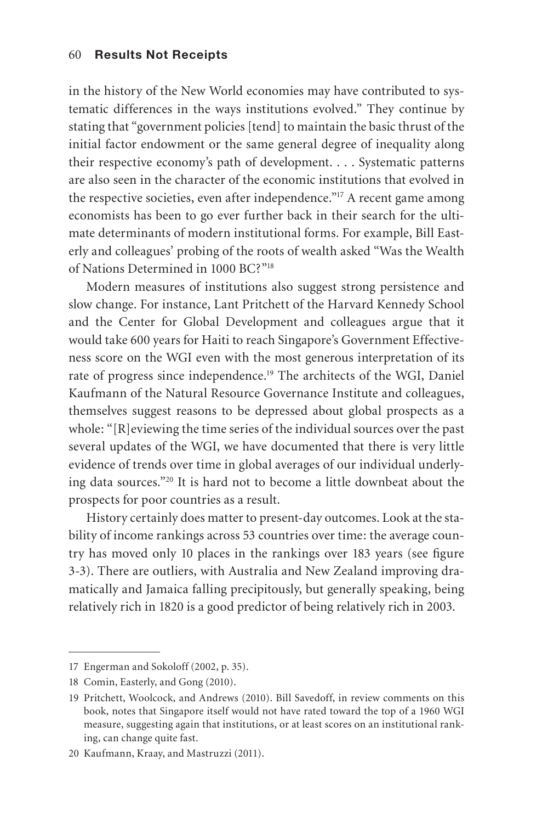in the history of the New World economies may have contributed to systematic differences in the ways institutions evolved." They continue by stating that "government policies [tend] to maintain the basic thrust of the initial factor endowment or the same general degree of inequality along their respective economy's path of development. . . . Systematic patterns are also seen in the character of the economic institutions that evolved in the respective societies, even after independence."17 A recent game among economists has been to go ever further back in their search for the ultimate determinants of modern institutional forms. For example, Bill Easterly and colleagues' probing of the roots of wealth asked "Was the Wealth of Nations Determined in 1000 BC?"18

Modern measures of institutions also suggest strong persistence and slow change. For instance, Lant Pritchett of the Harvard Kennedy School and the Center for Global Development and colleagues argue that it would take 600 years for Haiti to reach Singapore's Government Effectiveness score on the WGI even with the most generous interpretation of its rate of progress since independence.19 The architects of the WGI, Daniel Kaufmann of the Natural Resource Governance Institute and colleagues, themselves suggest reasons to be depressed about global prospects as a whole: "[R]eviewing the time series of the individual sources over the past several updates of the WGI, we have documented that there is very little evidence of trends over time in global averages of our individual underlying data sources."20 It is hard not to become a little downbeat about the prospects for poor countries as a result.

History certainly does matter to present-day outcomes. Look at the stability of income rankings across 53 countries over time: the average country has moved only 10 places in the rankings over 183 years (see figure 3-3). There are outliers, with Australia and New Zealand improving dramatically and Jamaica falling precipitously, but generally speaking, being relatively rich in 1820 is a good predictor of being relatively rich in 2003.

<sup>17</sup> Engerman and Sokoloff (2002, p. 35).

<sup>18</sup> Comin, Easterly, and Gong (2010).

<sup>19</sup> Pritchett, Woolcock, and Andrews (2010). Bill Savedoff, in review comments on this book, notes that Singapore itself would not have rated toward the top of a 1960 WGI measure, suggesting again that institutions, or at least scores on an institutional ranking, can change quite fast.

<sup>20</sup> Kaufmann, Kraay, and Mastruzzi (2011).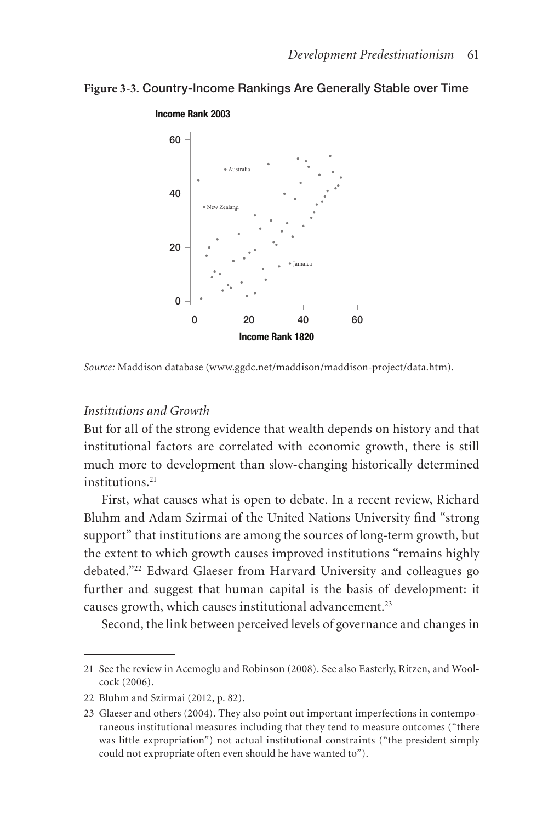#### **Figure 3-3.** Country-Income Rankings Are Generally Stable over Time



*Source:* Maddison database (www.ggdc.net/maddison/maddison-project/data.htm).

#### *Institutions and Growth*

But for all of the strong evidence that wealth depends on history and that institutional factors are correlated with economic growth, there is still much more to development than slow-changing historically determined institutions.<sup>21</sup>

First, what causes what is open to debate. In a recent review, Richard Bluhm and Adam Szirmai of the United Nations University find "strong support" that institutions are among the sources of long-term growth, but the extent to which growth causes improved institutions "remains highly debated."22 Edward Glaeser from Harvard University and colleagues go further and suggest that human capital is the basis of development: it causes growth, which causes institutional advancement.<sup>23</sup>

Second, the link between perceived levels of governance and changes in

<sup>21</sup> See the review in Acemoglu and Robinson (2008). See also Easterly, Ritzen, and Woolcock (2006).

<sup>22</sup> Bluhm and Szirmai (2012, p. 82).

<sup>23</sup> Glaeser and others (2004). They also point out important imperfections in contemporaneous institutional measures including that they tend to measure outcomes ("there was little expropriation") not actual institutional constraints ("the president simply could not expropriate often even should he have wanted to").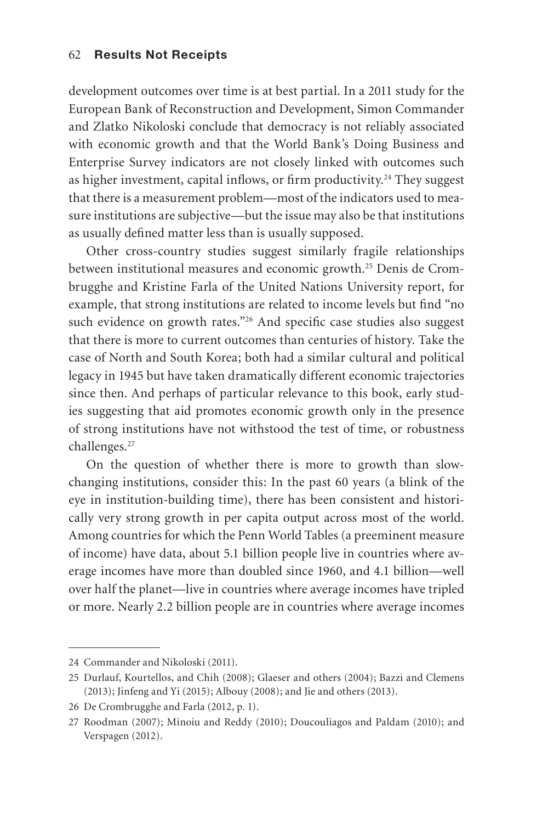development outcomes over time is at best partial. In a 2011 study for the European Bank of Reconstruction and Development, Simon Commander and Zlatko Nikoloski conclude that democracy is not reliably associated with economic growth and that the World Bank's Doing Business and Enterprise Survey indicators are not closely linked with outcomes such as higher investment, capital inflows, or firm productivity.<sup>24</sup> They suggest that there is a measurement problem—most of the indicators used to measure institutions are subjective—but the issue may also be that institutions as usually defined matter less than is usually supposed.

Other cross-country studies suggest similarly fragile relationships between institutional measures and economic growth.<sup>25</sup> Denis de Crombrugghe and Kristine Farla of the United Nations University report, for example, that strong institutions are related to income levels but find "no such evidence on growth rates."<sup>26</sup> And specific case studies also suggest that there is more to current outcomes than centuries of history. Take the case of North and South Korea; both had a similar cultural and political legacy in 1945 but have taken dramatically different economic trajectories since then. And perhaps of particular relevance to this book, early studies suggesting that aid promotes economic growth only in the presence of strong institutions have not withstood the test of time, or robustness challenges.27

On the question of whether there is more to growth than slowchanging institutions, consider this: In the past 60 years (a blink of the eye in institution-building time), there has been consistent and historically very strong growth in per capita output across most of the world. Among countries for which the Penn World Tables (a preeminent measure of income) have data, about 5.1 billion people live in countries where average incomes have more than doubled since 1960, and 4.1 billion—well over half the planet—live in countries where average incomes have tripled or more. Nearly 2.2 billion people are in countries where average incomes

<sup>24</sup> Commander and Nikoloski (2011).

<sup>25</sup> Durlauf, Kourtellos, and Chih (2008); Glaeser and others (2004); Bazzi and Clemens (2013); Jinfeng and Yi (2015); Albouy (2008); and Jie and others (2013).

<sup>26</sup> De Crombrugghe and Farla (2012, p. 1).

<sup>27</sup> Roodman (2007); Minoiu and Reddy (2010); Doucouliagos and Paldam (2010); and Verspagen (2012).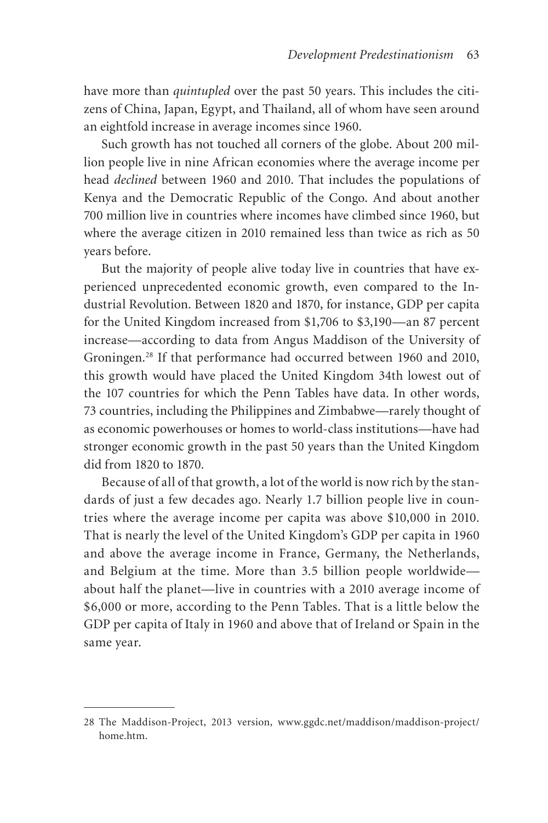have more than *quintupled* over the past 50 years. This includes the citizens of China, Japan, Egypt, and Thailand, all of whom have seen around an eightfold increase in average incomes since 1960.

Such growth has not touched all corners of the globe. About 200 million people live in nine African economies where the average income per head *declined* between 1960 and 2010. That includes the populations of Kenya and the Democratic Republic of the Congo. And about another 700 million live in countries where incomes have climbed since 1960, but where the average citizen in 2010 remained less than twice as rich as 50 years before.

But the majority of people alive today live in countries that have experienced unprecedented economic growth, even compared to the Industrial Revolution. Between 1820 and 1870, for instance, GDP per capita for the United Kingdom increased from \$1,706 to \$3,190—an 87 percent increase—according to data from Angus Maddison of the University of Groningen.28 If that performance had occurred between 1960 and 2010, this growth would have placed the United Kingdom 34th lowest out of the 107 countries for which the Penn Tables have data. In other words, 73 countries, including the Philippines and Zimbabwe—rarely thought of as economic powerhouses or homes to world-class institutions—have had stronger economic growth in the past 50 years than the United Kingdom did from 1820 to 1870.

Because of all of that growth, a lot of the world is now rich by the standards of just a few decades ago. Nearly 1.7 billion people live in countries where the average income per capita was above \$10,000 in 2010. That is nearly the level of the United Kingdom's GDP per capita in 1960 and above the average income in France, Germany, the Netherlands, and Belgium at the time. More than 3.5 billion people worldwide about half the planet—live in countries with a 2010 average income of \$6,000 or more, according to the Penn Tables. That is a little below the GDP per capita of Italy in 1960 and above that of Ireland or Spain in the same year.

<sup>28</sup> The Maddison-Project, 2013 version, www.ggdc.net/maddison/maddison-project/ home.htm.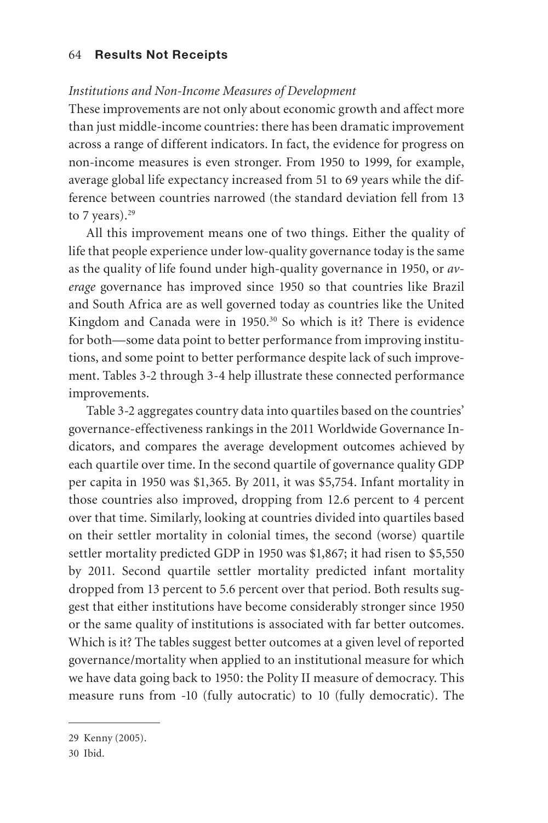#### *Institutions and Non-Income Measures of Development*

These improvements are not only about economic growth and affect more than just middle-income countries: there has been dramatic improvement across a range of different indicators. In fact, the evidence for progress on non-income measures is even stronger. From 1950 to 1999, for example, average global life expectancy increased from 51 to 69 years while the difference between countries narrowed (the standard deviation fell from 13 to 7 years). $29$ 

All this improvement means one of two things. Either the quality of life that people experience under low-quality governance today is the same as the quality of life found under high-quality governance in 1950, or *average* governance has improved since 1950 so that countries like Brazil and South Africa are as well governed today as countries like the United Kingdom and Canada were in 1950.<sup>30</sup> So which is it? There is evidence for both—some data point to better performance from improving institutions, and some point to better performance despite lack of such improvement. Tables 3-2 through 3-4 help illustrate these connected performance improvements.

Table 3-2 aggregates country data into quartiles based on the countries' governance-effectiveness rankings in the 2011 Worldwide Governance Indicators, and compares the average development outcomes achieved by each quartile over time. In the second quartile of governance quality GDP per capita in 1950 was \$1,365. By 2011, it was \$5,754. Infant mortality in those countries also improved, dropping from 12.6 percent to 4 percent over that time. Similarly, looking at countries divided into quartiles based on their settler mortality in colonial times, the second (worse) quartile settler mortality predicted GDP in 1950 was \$1,867; it had risen to \$5,550 by 2011. Second quartile settler mortality predicted infant mortality dropped from 13 percent to 5.6 percent over that period. Both results suggest that either institutions have become considerably stronger since 1950 or the same quality of institutions is associated with far better outcomes. Which is it? The tables suggest better outcomes at a given level of reported governance/mortality when applied to an institutional measure for which we have data going back to 1950: the Polity II measure of democracy. This measure runs from -10 (fully autocratic) to 10 (fully democratic). The

<sup>29</sup> Kenny (2005).

<sup>30</sup> Ibid.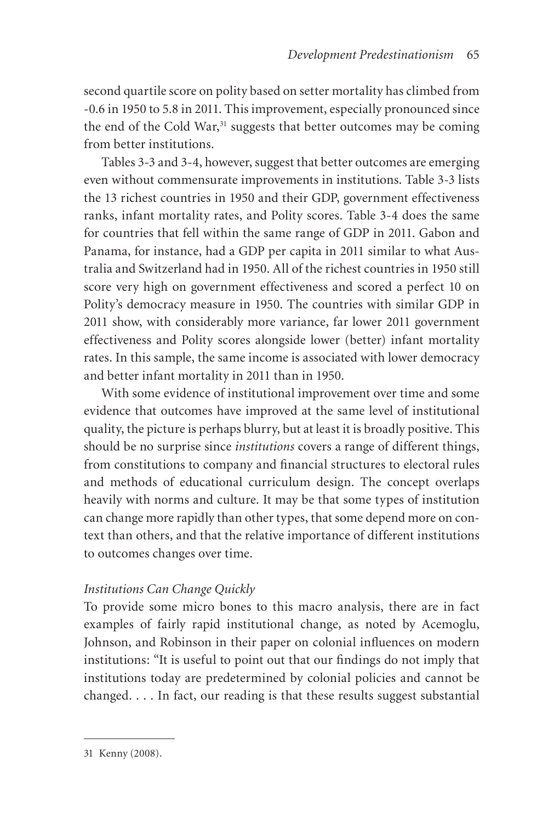second quartile score on polity based on setter mortality has climbed from -0.6 in 1950 to 5.8 in 2011. This improvement, especially pronounced since the end of the Cold War,<sup>31</sup> suggests that better outcomes may be coming from better institutions.

Tables 3-3 and 3-4, however, suggest that better outcomes are emerging even without commensurate improvements in institutions. Table 3-3 lists the 13 richest countries in 1950 and their GDP, government effectiveness ranks, infant mortality rates, and Polity scores. Table 3-4 does the same for countries that fell within the same range of GDP in 2011. Gabon and Panama, for instance, had a GDP per capita in 2011 similar to what Australia and Switzerland had in 1950. All of the richest countries in 1950 still score very high on government effectiveness and scored a perfect 10 on Polity's democracy measure in 1950. The countries with similar GDP in 2011 show, with considerably more variance, far lower 2011 government effectiveness and Polity scores alongside lower (better) infant mortality rates. In this sample, the same income is associated with lower democracy and better infant mortality in 2011 than in 1950.

With some evidence of institutional improvement over time and some evidence that outcomes have improved at the same level of institutional quality, the picture is perhaps blurry, but at least it is broadly positive. This should be no surprise since *institutions* covers a range of different things, from constitutions to company and financial structures to electoral rules and methods of educational curriculum design. The concept overlaps heavily with norms and culture. It may be that some types of institution can change more rapidly than other types, that some depend more on context than others, and that the relative importance of different institutions to outcomes changes over time.

## *Institutions Can Change Quickly*

To provide some micro bones to this macro analysis, there are in fact examples of fairly rapid institutional change, as noted by Acemoglu, Johnson, and Robinson in their paper on colonial influences on modern institutions: "It is useful to point out that our findings do not imply that institutions today are predetermined by colonial policies and cannot be changed. . . . In fact, our reading is that these results suggest substantial

<sup>31</sup> Kenny (2008).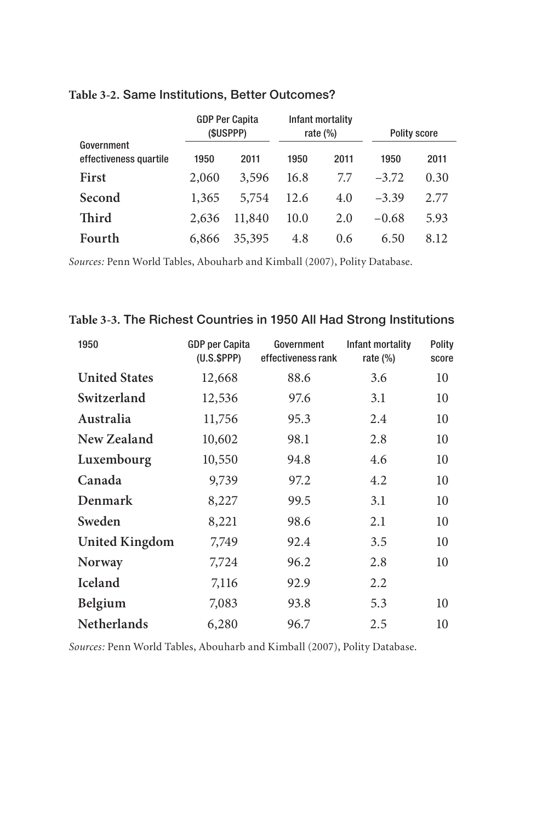|                                      | <b>GDP Per Capita</b><br>(\$USPPP) |        | Infant mortality<br>rate $(\%)$ |      | <b>Polity score</b> |      |
|--------------------------------------|------------------------------------|--------|---------------------------------|------|---------------------|------|
| Government<br>effectiveness quartile | 1950                               | 2011   | 1950                            | 2011 | 1950                | 2011 |
| <b>First</b>                         | 2,060                              | 3,596  | 16.8                            | 77   | $-3.72$             | 0.30 |
| Second                               | 1,365                              | 5,754  | 12.6                            | 4.0  | $-3.39$             | 2.77 |
| Third                                | 2.636                              | 11,840 | 10.0                            | 2.0  | $-0.68$             | 5.93 |
| Fourth                               | 6,866                              | 35,395 | 4.8                             | 0.6  | 6.50                | 8.12 |

### **Table 3-2.** Same Institutions, Better Outcomes?

*Sources:* Penn World Tables, Abouharb and Kimball (2007), Polity Database.

# **Table 3-3.** The Richest Countries in 1950 All Had Strong Institutions

| 1950                  | <b>GDP</b> per Capita<br>(U.S.SPPP) | Government<br>effectiveness rank | Infant mortality<br>rate $(\%)$ | Polity<br>score |
|-----------------------|-------------------------------------|----------------------------------|---------------------------------|-----------------|
| <b>United States</b>  | 12,668                              | 88.6                             | 3.6                             | 10              |
| Switzerland           | 12,536                              | 97.6                             | 3.1                             | 10              |
| Australia             | 11,756                              | 95.3                             | 2.4                             | 10              |
| New Zealand           | 10,602                              | 98.1                             | 2.8                             | 10              |
| Luxembourg            | 10,550                              | 94.8                             | 4.6                             | 10              |
| Canada                | 9,739                               | 97.2                             | 4.2                             | 10              |
| Denmark               | 8,227                               | 99.5                             | 3.1                             | 10              |
| Sweden                | 8,221                               | 98.6                             | 2.1                             | 10              |
| <b>United Kingdom</b> | 7,749                               | 92.4                             | 3.5                             | 10              |
| Norway                | 7,724                               | 96.2                             | 2.8                             | 10              |
| <b>Iceland</b>        | 7,116                               | 92.9                             | 2.2                             |                 |
| Belgium               | 7,083                               | 93.8                             | 5.3                             | 10              |
| <b>Netherlands</b>    | 6,280                               | 96.7                             | 2.5                             | 10              |

*Sources:* Penn World Tables, Abouharb and Kimball (2007), Polity Database.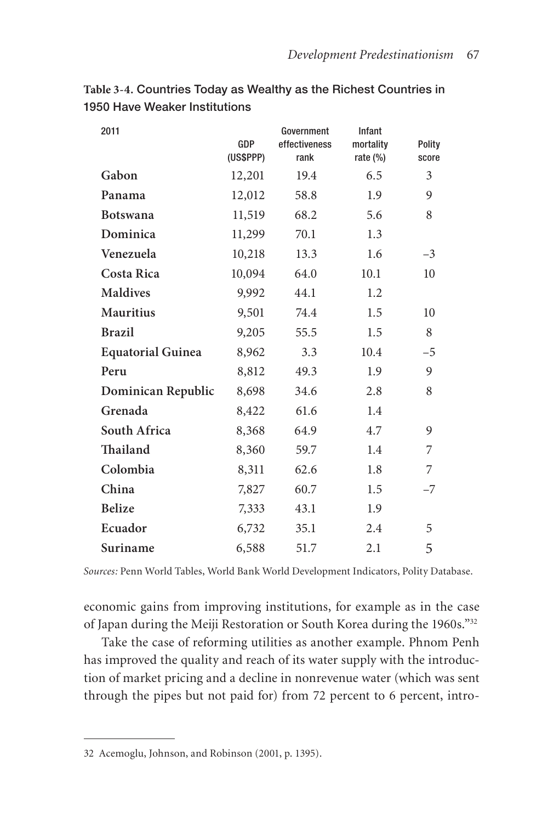**Table 3-4.** Countries Today as Wealthy as the Richest Countries in 1950 Have Weaker Institutions

| 2011                     | GDP<br>(US\$PPP) | Government<br>effectiveness<br>rank | Infant<br>mortality<br>rate $(\%)$ | Polity<br>score |
|--------------------------|------------------|-------------------------------------|------------------------------------|-----------------|
| Gabon                    | 12,201           | 19.4                                | 6.5                                | 3               |
| Panama                   | 12,012           | 58.8                                | 1.9                                | 9               |
| <b>Botswana</b>          | 11,519           | 68.2                                | 5.6                                | 8               |
| Dominica                 | 11,299           | 70.1                                | 1.3                                |                 |
| Venezuela                | 10,218           | 13.3                                | 1.6                                | $-3$            |
| Costa Rica               | 10,094           | 64.0                                | 10.1                               | 10              |
| <b>Maldives</b>          | 9,992            | 44.1                                | 1.2                                |                 |
| <b>Mauritius</b>         | 9,501            | 74.4                                | 1.5                                | 10              |
| <b>Brazil</b>            | 9,205            | 55.5                                | 1.5                                | 8               |
| <b>Equatorial Guinea</b> | 8,962            | 3.3                                 | 10.4                               | $-5$            |
| Peru                     | 8,812            | 49.3                                | 1.9                                | 9               |
| Dominican Republic       | 8,698            | 34.6                                | 2.8                                | 8               |
| Grenada                  | 8,422            | 61.6                                | 1.4                                |                 |
| South Africa             | 8,368            | 64.9                                | 4.7                                | 9               |
| Thailand                 | 8,360            | 59.7                                | 1.4                                | 7               |
| Colombia                 | 8,311            | 62.6                                | 1.8                                | 7               |
| China                    | 7,827            | 60.7                                | 1.5                                | $-7$            |
| <b>Belize</b>            | 7,333            | 43.1                                | 1.9                                |                 |
| Ecuador                  | 6,732            | 35.1                                | 2.4                                | 5               |
| Suriname                 | 6,588            | 51.7                                | 2.1                                | 5               |

*Sources:* Penn World Tables, World Bank World Development Indicators, Polity Database.

economic gains from improving institutions, for example as in the case of Japan during the Meiji Restoration or South Korea during the 1960s."32

Take the case of reforming utilities as another example. Phnom Penh has improved the quality and reach of its water supply with the introduction of market pricing and a decline in nonrevenue water (which was sent through the pipes but not paid for) from 72 percent to 6 percent, intro-

<sup>32</sup> Acemoglu, Johnson, and Robinson (2001, p. 1395).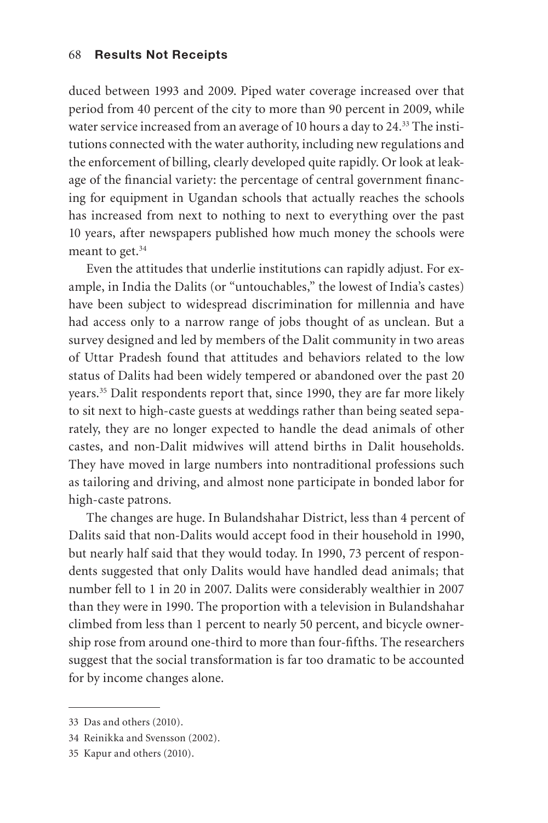duced between 1993 and 2009. Piped water coverage increased over that period from 40 percent of the city to more than 90 percent in 2009, while water service increased from an average of 10 hours a day to 24.<sup>33</sup> The institutions connected with the water authority, including new regulations and the enforcement of billing, clearly developed quite rapidly. Or look at leakage of the financial variety: the percentage of central government financing for equipment in Ugandan schools that actually reaches the schools has increased from next to nothing to next to everything over the past 10 years, after newspapers published how much money the schools were meant to get.<sup>34</sup>

Even the attitudes that underlie institutions can rapidly adjust. For example, in India the Dalits (or "untouchables," the lowest of India's castes) have been subject to widespread discrimination for millennia and have had access only to a narrow range of jobs thought of as unclean. But a survey designed and led by members of the Dalit community in two areas of Uttar Pradesh found that attitudes and behaviors related to the low status of Dalits had been widely tempered or abandoned over the past 20 years.35 Dalit respondents report that, since 1990, they are far more likely to sit next to high-caste guests at weddings rather than being seated separately, they are no longer expected to handle the dead animals of other castes, and non-Dalit midwives will attend births in Dalit households. They have moved in large numbers into nontraditional professions such as tailoring and driving, and almost none participate in bonded labor for high-caste patrons.

The changes are huge. In Bulandshahar District, less than 4 percent of Dalits said that non-Dalits would accept food in their household in 1990, but nearly half said that they would today. In 1990, 73 percent of respondents suggested that only Dalits would have handled dead animals; that number fell to 1 in 20 in 2007. Dalits were considerably wealthier in 2007 than they were in 1990. The proportion with a television in Bulandshahar climbed from less than 1 percent to nearly 50 percent, and bicycle ownership rose from around one-third to more than four-fifths. The researchers suggest that the social transformation is far too dramatic to be accounted for by income changes alone.

<sup>33</sup> Das and others (2010).

<sup>34</sup> Reinikka and Svensson (2002).

<sup>35</sup> Kapur and others (2010).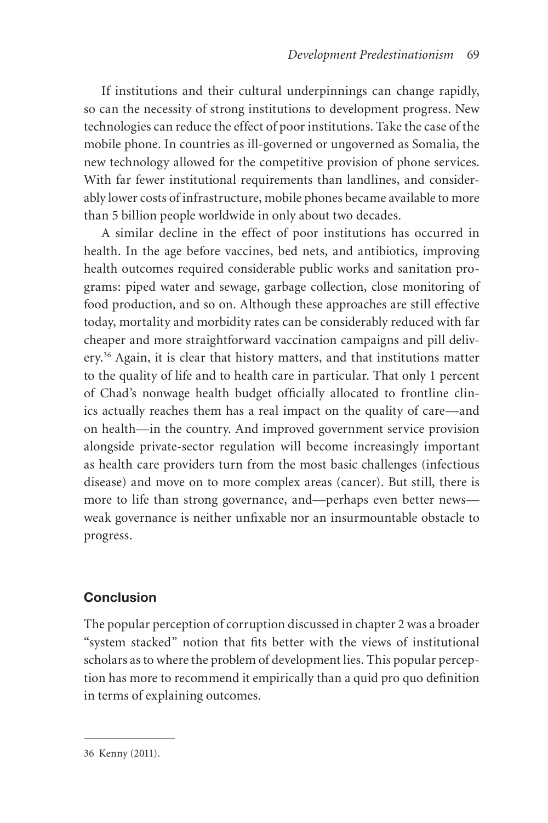If institutions and their cultural underpinnings can change rapidly, so can the necessity of strong institutions to development progress. New technologies can reduce the effect of poor institutions. Take the case of the mobile phone. In countries as ill-governed or ungoverned as Somalia, the new technology allowed for the competitive provision of phone services. With far fewer institutional requirements than landlines, and considerably lower costs of infrastructure, mobile phones became available to more than 5 billion people worldwide in only about two decades.

A similar decline in the effect of poor institutions has occurred in health. In the age before vaccines, bed nets, and antibiotics, improving health outcomes required considerable public works and sanitation programs: piped water and sewage, garbage collection, close monitoring of food production, and so on. Although these approaches are still effective today, mortality and morbidity rates can be considerably reduced with far cheaper and more straightforward vaccination campaigns and pill delivery.<sup>36</sup> Again, it is clear that history matters, and that institutions matter to the quality of life and to health care in particular. That only 1 percent of Chad's nonwage health budget officially allocated to frontline clinics actually reaches them has a real impact on the quality of care—and on health—in the country. And improved government service provision alongside private-sector regulation will become increasingly important as health care providers turn from the most basic challenges (infectious disease) and move on to more complex areas (cancer). But still, there is more to life than strong governance, and—perhaps even better news weak governance is neither unfixable nor an insurmountable obstacle to progress.

# **Conclusion**

The popular perception of corruption discussed in chapter 2 was a broader "system stacked" notion that fits better with the views of institutional scholars as to where the problem of development lies. This popular perception has more to recommend it empirically than a quid pro quo definition in terms of explaining outcomes.

<sup>36</sup> Kenny (2011).